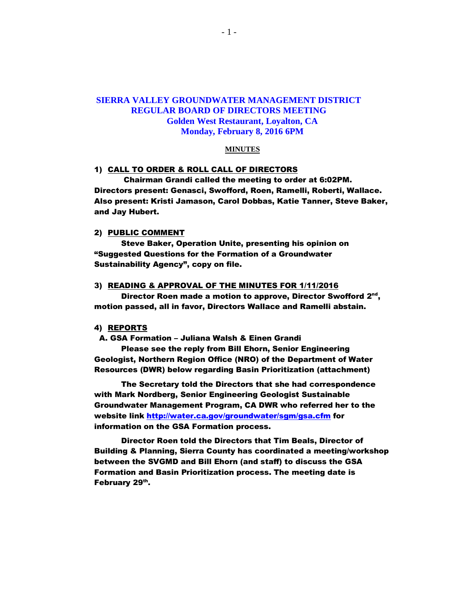# **SIERRA VALLEY GROUNDWATER MANAGEMENT DISTRICT REGULAR BOARD OF DIRECTORS MEETING Golden West Restaurant, Loyalton, CA Monday, February 8, 2016 6PM**

#### **MINUTES**

#### 1) CALL TO ORDER & ROLL CALL OF DIRECTORS

 Chairman Grandi called the meeting to order at 6:02PM. Directors present: Genasci, Swofford, Roen, Ramelli, Roberti, Wallace. Also present: Kristi Jamason, Carol Dobbas, Katie Tanner, Steve Baker, and Jay Hubert.

#### 2) PUBLIC COMMENT

Steve Baker, Operation Unite, presenting his opinion on "Suggested Questions for the Formation of a Groundwater Sustainability Agency", copy on file.

#### 3) READING & APPROVAL OF THE MINUTES FOR 1/11/2016

Director Roen made a motion to approve, Director Swofford 2<sup>nd</sup>, motion passed, all in favor, Directors Wallace and Ramelli abstain.

#### 4) REPORTS

### A. GSA Formation – Juliana Walsh & Einen Grandi

Please see the reply from Bill Ehorn, Senior Engineering Geologist, Northern Region Office (NRO) of the Department of Water Resources (DWR) below regarding Basin Prioritization (attachment)

The Secretary told the Directors that she had correspondence with Mark Nordberg, Senior Engineering Geologist Sustainable Groundwater Management Program, CA DWR who referred her to the website link<http://water.ca.gov/groundwater/sgm/gsa.cfm> for information on the GSA Formation process.

Director Roen told the Directors that Tim Beals, Director of Building & Planning, Sierra County has coordinated a meeting/workshop between the SVGMD and Bill Ehorn (and staff) to discuss the GSA Formation and Basin Prioritization process. The meeting date is February 29<sup>th</sup>.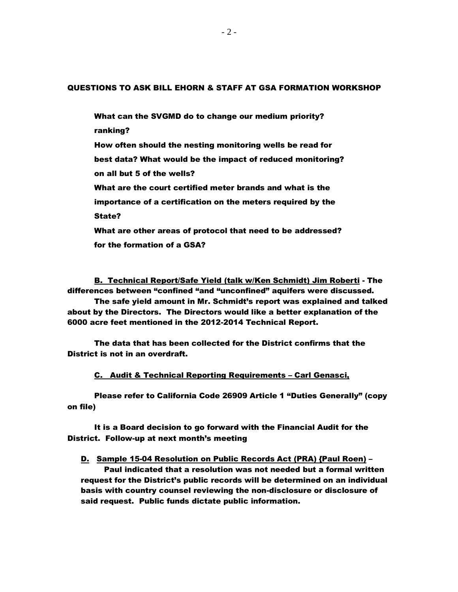### QUESTIONS TO ASK BILL EHORN & STAFF AT GSA FORMATION WORKSHOP

What can the SVGMD do to change our medium priority? ranking? How often should the nesting monitoring wells be read for best data? What would be the impact of reduced monitoring? on all but 5 of the wells? What are the court certified meter brands and what is the importance of a certification on the meters required by the State? What are other areas of protocol that need to be addressed? for the formation of a GSA?

B. Technical Report/Safe Yield (talk w/Ken Schmidt) Jim Roberti - The differences between "confined "and "unconfined" aquifers were discussed.

The safe yield amount in Mr. Schmidt's report was explained and talked about by the Directors. The Directors would like a better explanation of the 6000 acre feet mentioned in the 2012-2014 Technical Report.

The data that has been collected for the District confirms that the District is not in an overdraft.

C. Audit & Technical Reporting Requirements – Carl Genasci,

Please refer to California Code 26909 Article 1 "Duties Generally" (copy on file)

It is a Board decision to go forward with the Financial Audit for the District. Follow-up at next month's meeting

D. Sample 15-04 Resolution on Public Records Act (PRA) {Paul Roen) –

Paul indicated that a resolution was not needed but a formal written request for the District's public records will be determined on an individual basis with country counsel reviewing the non-disclosure or disclosure of said request. Public funds dictate public information.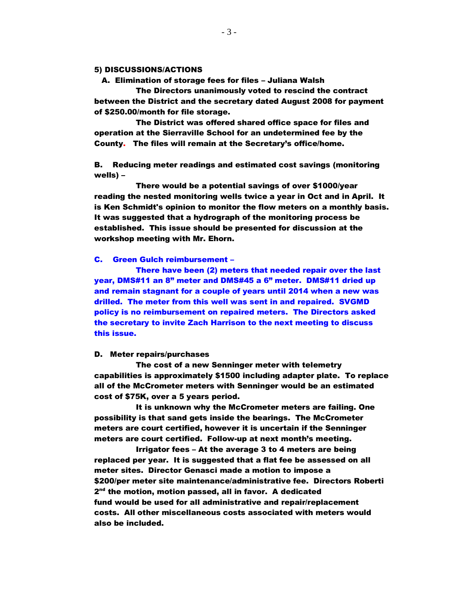### 5) DISCUSSIONS/ACTIONS

A. Elimination of storage fees for files – Juliana Walsh

The Directors unanimously voted to rescind the contract between the District and the secretary dated August 2008 for payment of \$250.00/month for file storage.

The District was offered shared office space for files and operation at the Sierraville School for an undetermined fee by the County. The files will remain at the Secretary's office/home.

B. Reducing meter readings and estimated cost savings (monitoring wells) –

There would be a potential savings of over \$1000/year reading the nested monitoring wells twice a year in Oct and in April. It is Ken Schmidt's opinion to monitor the flow meters on a monthly basis. It was suggested that a hydrograph of the monitoring process be established. This issue should be presented for discussion at the workshop meeting with Mr. Ehorn.

### C. Green Gulch reimbursement –

There have been (2) meters that needed repair over the last year, DMS#11 an 8" meter and DMS#45 a 6" meter. DMS#11 dried up and remain stagnant for a couple of years until 2014 when a new was drilled. The meter from this well was sent in and repaired. SVGMD policy is no reimbursement on repaired meters. The Directors asked the secretary to invite Zach Harrison to the next meeting to discuss this issue.

#### D. Meter repairs/purchases

The cost of a new Senninger meter with telemetry capabilities is approximately \$1500 including adapter plate. To replace all of the McCrometer meters with Senninger would be an estimated cost of \$75K, over a 5 years period.

It is unknown why the McCrometer meters are failing. One possibility is that sand gets inside the bearings. The McCrometer meters are court certified, however it is uncertain if the Senninger meters are court certified. Follow-up at next month's meeting.

Irrigator fees – At the average 3 to 4 meters are being replaced per year. It is suggested that a flat fee be assessed on all meter sites. Director Genasci made a motion to impose a \$200/per meter site maintenance/administrative fee. Directors Roberti 2<sup>nd</sup> the motion, motion passed, all in favor. A dedicated fund would be used for all administrative and repair/replacement costs. All other miscellaneous costs associated with meters would also be included.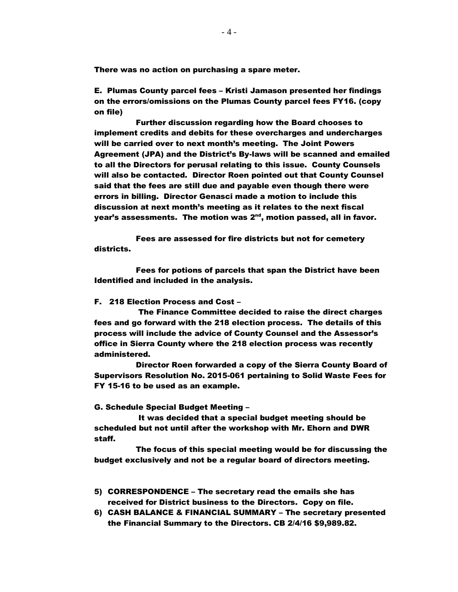There was no action on purchasing a spare meter.

E. Plumas County parcel fees – Kristi Jamason presented her findings on the errors/omissions on the Plumas County parcel fees FY16. (copy on file)

Further discussion regarding how the Board chooses to implement credits and debits for these overcharges and undercharges will be carried over to next month's meeting. The Joint Powers Agreement (JPA) and the District's By-laws will be scanned and emailed to all the Directors for perusal relating to this issue. County Counsels will also be contacted. Director Roen pointed out that County Counsel said that the fees are still due and payable even though there were errors in billing. Director Genasci made a motion to include this discussion at next month's meeting as it relates to the next fiscal year's assessments. The motion was 2<sup>nd</sup>, motion passed, all in favor.

Fees are assessed for fire districts but not for cemetery districts.

Fees for potions of parcels that span the District have been Identified and included in the analysis.

### F. 218 Election Process and Cost –

The Finance Committee decided to raise the direct charges fees and go forward with the 218 election process. The details of this process will include the advice of County Counsel and the Assessor's office in Sierra County where the 218 election process was recently administered.

Director Roen forwarded a copy of the Sierra County Board of Supervisors Resolution No. 2015-061 pertaining to Solid Waste Fees for FY 15-16 to be used as an example.

G. Schedule Special Budget Meeting –

It was decided that a special budget meeting should be scheduled but not until after the workshop with Mr. Ehorn and DWR staff.

The focus of this special meeting would be for discussing the budget exclusively and not be a regular board of directors meeting.

- 5) CORRESPONDENCE The secretary read the emails she has received for District business to the Directors. Copy on file.
- 6) CASH BALANCE & FINANCIAL SUMMARY The secretary presented the Financial Summary to the Directors. CB 2/4/16 \$9,989.82.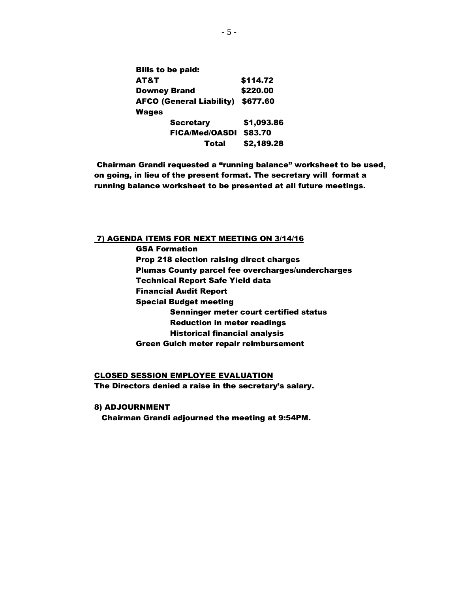| <b>Bills to be paid:</b>        |            |
|---------------------------------|------------|
| AT&T                            | \$114.72   |
| <b>Downey Brand</b>             | \$220.00   |
| <b>AFCO (General Liability)</b> | \$677.60   |
| Wages                           |            |
| <b>Secretary</b>                | \$1,093.86 |
| <b>FICA/Med/OASDI</b>           | \$83.70    |
| Total                           | \$2,189.28 |

Chairman Grandi requested a "running balance" worksheet to be used, on going, in lieu of the present format. The secretary will format a running balance worksheet to be presented at all future meetings.

### 7) AGENDA ITEMS FOR NEXT MEETING ON 3/14/16

GSA Formation Prop 218 election raising direct charges Plumas County parcel fee overcharges/undercharges Technical Report Safe Yield data Financial Audit Report Special Budget meeting Senninger meter court certified status Reduction in meter readings Historical financial analysis Green Gulch meter repair reimbursement

## CLOSED SESSION EMPLOYEE EVALUATION The Directors denied a raise in the secretary's salary.

### 8) ADJOURNMENT

Chairman Grandi adjourned the meeting at 9:54PM.